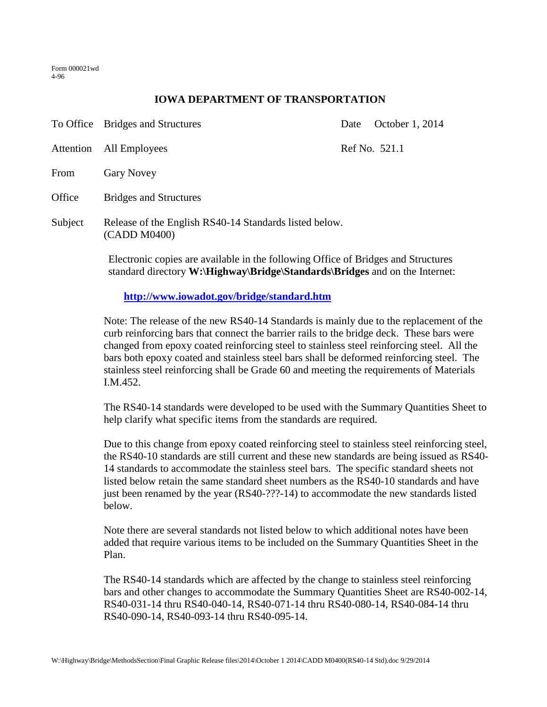Form 000021wd 4-96

## **IOWA DEPARTMENT OF TRANSPORTATION**

|                                            | To Office Bridges and Structures                                                                                                                                                                                                                   | Date | October 1, 2014 |
|--------------------------------------------|----------------------------------------------------------------------------------------------------------------------------------------------------------------------------------------------------------------------------------------------------|------|-----------------|
| Attention                                  | All Employees                                                                                                                                                                                                                                      |      | Ref No. 521.1   |
| From                                       | <b>Gary Novey</b>                                                                                                                                                                                                                                  |      |                 |
| Office                                     | <b>Bridges and Structures</b>                                                                                                                                                                                                                      |      |                 |
| Subject                                    | Release of the English RS40-14 Standards listed below.<br>(CADD M0400)<br>Electronic copies are available in the following Office of Bridges and Structures<br>standard directory <b>W</b> : Highway Bridge Standards Bridges and on the Internet: |      |                 |
|                                            |                                                                                                                                                                                                                                                    |      |                 |
| http://www.iowadot.gov/bridge/standard.htm |                                                                                                                                                                                                                                                    |      |                 |
|                                            |                                                                                                                                                                                                                                                    |      |                 |

Note: The release of the new RS40-14 Standards is mainly due to the replacement of the curb reinforcing bars that connect the barrier rails to the bridge deck. These bars were changed from epoxy coated reinforcing steel to stainless steel reinforcing steel. All the bars both epoxy coated and stainless steel bars shall be deformed reinforcing steel. The stainless steel reinforcing shall be Grade 60 and meeting the requirements of Materials I.M.452.

The RS40-14 standards were developed to be used with the Summary Quantities Sheet to help clarify what specific items from the standards are required.

Due to this change from epoxy coated reinforcing steel to stainless steel reinforcing steel, the RS40-10 standards are still current and these new standards are being issued as RS40- 14 standards to accommodate the stainless steel bars. The specific standard sheets not listed below retain the same standard sheet numbers as the RS40-10 standards and have just been renamed by the year (RS40-???-14) to accommodate the new standards listed below.

Note there are several standards not listed below to which additional notes have been added that require various items to be included on the Summary Quantities Sheet in the Plan.

The RS40-14 standards which are affected by the change to stainless steel reinforcing bars and other changes to accommodate the Summary Quantities Sheet are RS40-002-14, RS40-031-14 thru RS40-040-14, RS40-071-14 thru RS40-080-14, RS40-084-14 thru RS40-090-14, RS40-093-14 thru RS40-095-14.